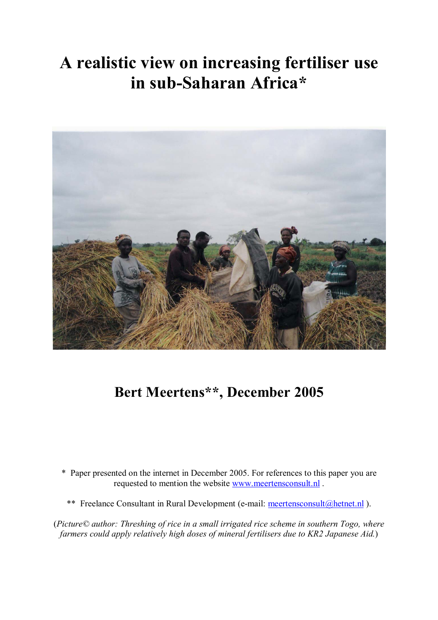# **A realistic view on increasing fertiliser use in sub-Saharan Africa\***



## **Bert Meertens\*\*, December 2005**

- \* Paper presented on the internet in December 2005. For references to this paper you are requested to mention the website www.meertensconsult.nl .
	- \*\* Freelance Consultant in Rural Development (e-mail: meertensconsult@hetnet.nl ).

(*Picture© author: Threshing of rice in a small irrigated rice scheme in southern Togo, where farmers could apply relatively high doses of mineral fertilisers due to KR2 Japanese Aid.*)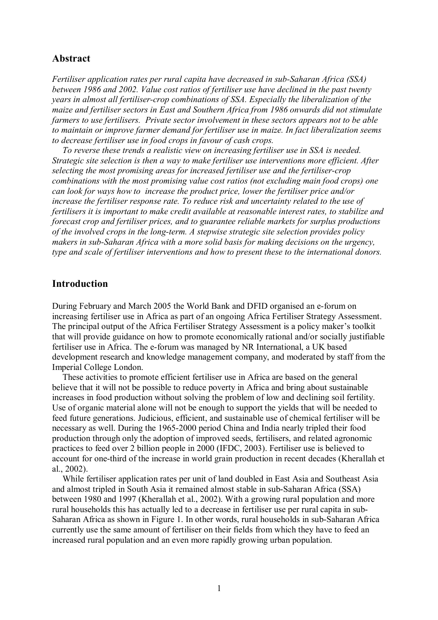## **Abstract**

*Fertiliser application rates per rural capita have decreased in sub-Saharan Africa (SSA) between 1986 and 2002. Value cost ratios of fertiliser use have declined in the past twenty years in almost all fertiliser-crop combinations of SSA. Especially the liberalization of the maize and fertiliser sectors in East and Southern Africa from 1986 onwards did not stimulate farmers to use fertilisers. Private sector involvement in these sectors appears not to be able to maintain or improve farmer demand for fertiliser use in maize. In fact liberalization seems to decrease fertiliser use in food crops in favour of cash crops.* 

*To reverse these trends a realistic view on increasing fertiliser use in SSA is needed. Strategic site selection is then a way to make fertiliser use interventions more efficient. After selecting the most promising areas for increased fertiliser use and the fertiliser-crop combinations with the most promising value cost ratios (not excluding main food crops) one can look for ways how to increase the product price, lower the fertiliser price and/or increase the fertiliser response rate. To reduce risk and uncertainty related to the use of fertilisers it is important to make credit available at reasonable interest rates, to stabilize and forecast crop and fertiliser prices, and to guarantee reliable markets for surplus productions of the involved crops in the long-term. A stepwise strategic site selection provides policy makers in sub-Saharan Africa with a more solid basis for making decisions on the urgency, type and scale of fertiliser interventions and how to present these to the international donors.* 

#### **Introduction**

During February and March 2005 the World Bank and DFID organised an e-forum on increasing fertiliser use in Africa as part of an ongoing Africa Fertiliser Strategy Assessment. The principal output of the Africa Fertiliser Strategy Assessment is a policy maker's toolkit that will provide guidance on how to promote economically rational and/or socially justifiable fertiliser use in Africa. The e-forum was managed by NR International, a UK based development research and knowledge management company, and moderated by staff from the Imperial College London.

These activities to promote efficient fertiliser use in Africa are based on the general believe that it will not be possible to reduce poverty in Africa and bring about sustainable increases in food production without solving the problem of low and declining soil fertility. Use of organic material alone will not be enough to support the yields that will be needed to feed future generations. Judicious, efficient, and sustainable use of chemical fertiliser will be necessary as well. During the 1965-2000 period China and India nearly tripled their food production through only the adoption of improved seeds, fertilisers, and related agronomic practices to feed over 2 billion people in 2000 (IFDC, 2003). Fertiliser use is believed to account for one-third of the increase in world grain production in recent decades (Kherallah et al., 2002).

While fertiliser application rates per unit of land doubled in East Asia and Southeast Asia and almost tripled in South Asia it remained almost stable in sub-Saharan Africa (SSA) between 1980 and 1997 (Kherallah et al., 2002). With a growing rural population and more rural households this has actually led to a decrease in fertiliser use per rural capita in sub-Saharan Africa as shown in Figure 1. In other words, rural households in sub-Saharan Africa currently use the same amount of fertiliser on their fields from which they have to feed an increased rural population and an even more rapidly growing urban population.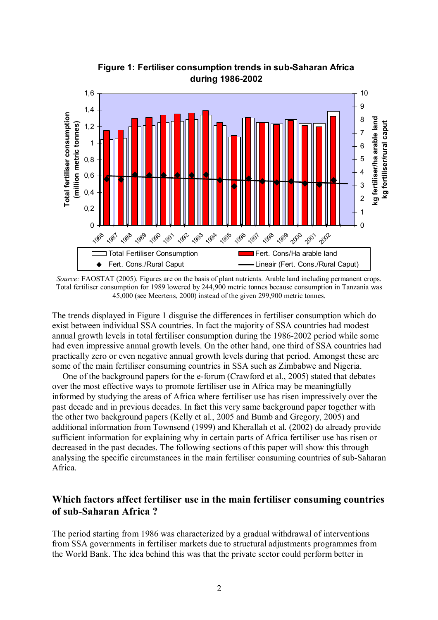

**Figure 1: Fertiliser consumption trends in sub-Saharan Africa during 1986-2002**

The trends displayed in Figure 1 disguise the differences in fertiliser consumption which do exist between individual SSA countries. In fact the majority of SSA countries had modest annual growth levels in total fertiliser consumption during the 1986-2002 period while some had even impressive annual growth levels. On the other hand, one third of SSA countries had practically zero or even negative annual growth levels during that period. Amongst these are some of the main fertiliser consuming countries in SSA such as Zimbabwe and Nigeria.

One of the background papers for the e-forum (Crawford et al., 2005) stated that debates over the most effective ways to promote fertiliser use in Africa may be meaningfully informed by studying the areas of Africa where fertiliser use has risen impressively over the past decade and in previous decades. In fact this very same background paper together with the other two background papers (Kelly et al., 2005 and Bumb and Gregory, 2005) and additional information from Townsend (1999) and Kherallah et al. (2002) do already provide sufficient information for explaining why in certain parts of Africa fertiliser use has risen or decreased in the past decades. The following sections of this paper will show this through analysing the specific circumstances in the main fertiliser consuming countries of sub-Saharan Africa.

## **Which factors affect fertiliser use in the main fertiliser consuming countries of sub-Saharan Africa ?**

The period starting from 1986 was characterized by a gradual withdrawal of interventions from SSA governments in fertiliser markets due to structural adjustments programmes from the World Bank. The idea behind this was that the private sector could perform better in

*Source:* FAOSTAT (2005). Figures are on the basis of plant nutrients. Arable land including permanent crops. Total fertiliser consumption for 1989 lowered by 244,900 metric tonnes because consumption in Tanzania was 45,000 (see Meertens, 2000) instead of the given 299,900 metric tonnes.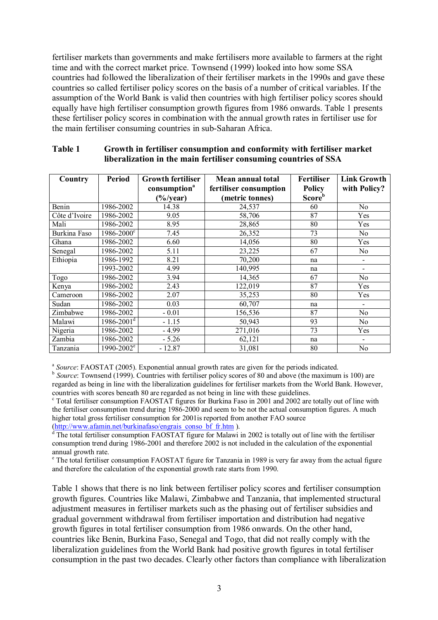fertiliser markets than governments and make fertilisers more available to farmers at the right time and with the correct market price. Townsend (1999) looked into how some SSA countries had followed the liberalization of their fertiliser markets in the 1990s and gave these countries so called fertiliser policy scores on the basis of a number of critical variables. If the assumption of the World Bank is valid then countries with high fertiliser policy scores should equally have high fertiliser consumption growth figures from 1986 onwards. Table 1 presents these fertiliser policy scores in combination with the annual growth rates in fertiliser use for the main fertiliser consuming countries in sub-Saharan Africa.

| Country       | <b>Period</b>              | <b>Growth fertiliser</b> | Mean annual total      | <b>Fertiliser</b>  | <b>Link Growth</b>       |
|---------------|----------------------------|--------------------------|------------------------|--------------------|--------------------------|
|               |                            | consumption <sup>a</sup> | fertiliser consumption | <b>Policy</b>      | with Policy?             |
|               |                            | $\frac{6}{3}$            | (metric tonnes)        | Score <sup>b</sup> |                          |
| Benin         | 1986-2002                  | 14.38                    | 24,537                 | 60                 | N <sub>0</sub>           |
| Côte d'Ivoire | 1986-2002                  | 9.05                     | 58,706                 | 87                 | Yes                      |
| Mali          | 1986-2002                  | 8.95                     | 28,865                 | 80                 | Yes                      |
| Burkina Faso  | $1986 - 2000^{\circ}$      | 7.45                     | 26,352                 | 73                 | N <sub>0</sub>           |
| Ghana         | 1986-2002                  | 6.60                     | 14,056                 | 80                 | Yes                      |
| Senegal       | 1986-2002                  | 5.11                     | 23,225                 | 67                 | N <sub>0</sub>           |
| Ethiopia      | 1986-1992                  | 8.21                     | 70,200                 | na                 |                          |
|               | 1993-2002                  | 4.99                     | 140,995                | na                 | $\overline{\phantom{0}}$ |
| Togo          | 1986-2002                  | 3.94                     | 14,365                 | 67                 | N <sub>o</sub>           |
| Kenya         | 1986-2002                  | 2.43                     | 122,019                | 87                 | Yes                      |
| Cameroon      | 1986-2002                  | 2.07                     | 35,253                 | 80                 | Yes                      |
| Sudan         | 1986-2002                  | 0.03                     | 60,707                 | na                 |                          |
| Zimbabwe      | 1986-2002                  | $-0.01$                  | 156,536                | 87                 | No                       |
| Malawi        | $1986 - 2001$ <sup>d</sup> | $-1.15$                  | 50,943                 | 93                 | N <sub>0</sub>           |
| Nigeria       | 1986-2002                  | $-4.99$                  | 271,016                | 73                 | Yes                      |
| Zambia        | 1986-2002                  | $-5.26$                  | 62,121                 | na                 |                          |
| Tanzania      | 1990-2002 <sup>e</sup>     | $-12.87$                 | 31,081                 | 80                 | No                       |

#### **Table 1 Growth in fertiliser consumption and conformity with fertiliser market liberalization in the main fertiliser consuming countries of SSA**

<sup>a</sup> *Source*: FAOSTAT (2005). Exponential annual growth rates are given for the periods indicated.

<sup>b</sup> *Source*: Townsend (1999). Countries with fertiliser policy scores of 80 and above (the maximum is 100) are regarded as being in line with the liberalization guidelines for fertiliser markets from the World Bank. However, countries with scores beneath 80 are regarded as not being in line with these guidelines.

<sup>c</sup> Total fertiliser consumption FAOSTAT figures for Burkina Faso in 2001 and 2002 are totally out of line with the fertiliser consumption trend during 1986-2000 and seem to be not the actual consumption figures. A much higher total gross fertiliser consumption for 2001is reported from another FAO source

(http://www.afamin.net/burkinafaso/engrais\_conso\_bf\_fr.htm ).<br><sup>d</sup> The total fertiliser consumption FAOSTAT figure for Malawi in 2002 is totally out of line with the fertiliser consumption trend during 1986-2001 and therefore 2002 is not included in the calculation of the exponential annual growth rate.

<sup>e</sup> The total fertiliser consumption FAOSTAT figure for Tanzania in 1989 is very far away from the actual figure and therefore the calculation of the exponential growth rate starts from 1990.

Table 1 shows that there is no link between fertiliser policy scores and fertiliser consumption growth figures. Countries like Malawi, Zimbabwe and Tanzania, that implemented structural adjustment measures in fertiliser markets such as the phasing out of fertiliser subsidies and gradual government withdrawal from fertiliser importation and distribution had negative growth figures in total fertiliser consumption from 1986 onwards. On the other hand, countries like Benin, Burkina Faso, Senegal and Togo, that did not really comply with the liberalization guidelines from the World Bank had positive growth figures in total fertiliser consumption in the past two decades. Clearly other factors than compliance with liberalization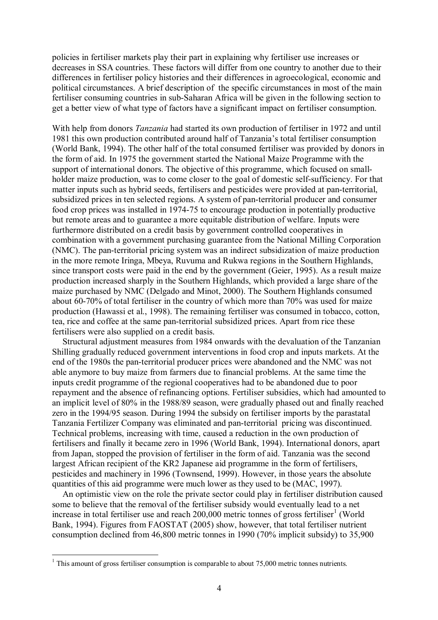policies in fertiliser markets play their part in explaining why fertiliser use increases or decreases in SSA countries. These factors will differ from one country to another due to their differences in fertiliser policy histories and their differences in agroecological, economic and political circumstances. A brief description of the specific circumstances in most of the main fertiliser consuming countries in sub-Saharan Africa will be given in the following section to get a better view of what type of factors have a significant impact on fertiliser consumption.

With help from donors *Tanzania* had started its own production of fertiliser in 1972 and until 1981 this own production contributed around half of Tanzania's total fertiliser consumption (World Bank, 1994). The other half of the total consumed fertiliser was provided by donors in the form of aid. In 1975 the government started the National Maize Programme with the support of international donors. The objective of this programme, which focused on smallholder maize production, was to come closer to the goal of domestic self-sufficiency. For that matter inputs such as hybrid seeds, fertilisers and pesticides were provided at pan-territorial, subsidized prices in ten selected regions. A system of pan-territorial producer and consumer food crop prices was installed in 1974-75 to encourage production in potentially productive but remote areas and to guarantee a more equitable distribution of welfare. Inputs were furthermore distributed on a credit basis by government controlled cooperatives in combination with a government purchasing guarantee from the National Milling Corporation (NMC). The pan-territorial pricing system was an indirect subsidization of maize production in the more remote Iringa, Mbeya, Ruvuma and Rukwa regions in the Southern Highlands, since transport costs were paid in the end by the government (Geier, 1995). As a result maize production increased sharply in the Southern Highlands, which provided a large share of the maize purchased by NMC (Delgado and Minot, 2000). The Southern Highlands consumed about 60-70% of total fertiliser in the country of which more than 70% was used for maize production (Hawassi et al., 1998). The remaining fertiliser was consumed in tobacco, cotton, tea, rice and coffee at the same pan-territorial subsidized prices. Apart from rice these fertilisers were also supplied on a credit basis.

Structural adjustment measures from 1984 onwards with the devaluation of the Tanzanian Shilling gradually reduced government interventions in food crop and inputs markets. At the end of the 1980s the pan-territorial producer prices were abandoned and the NMC was not able anymore to buy maize from farmers due to financial problems. At the same time the inputs credit programme of the regional cooperatives had to be abandoned due to poor repayment and the absence of refinancing options. Fertiliser subsidies, which had amounted to an implicit level of 80% in the 1988/89 season, were gradually phased out and finally reached zero in the 1994/95 season. During 1994 the subsidy on fertiliser imports by the parastatal Tanzania Fertilizer Company was eliminated and pan-territorial pricing was discontinued. Technical problems, increasing with time, caused a reduction in the own production of fertilisers and finally it became zero in 1996 (World Bank, 1994). International donors, apart from Japan, stopped the provision of fertiliser in the form of aid. Tanzania was the second largest African recipient of the KR2 Japanese aid programme in the form of fertilisers, pesticides and machinery in 1996 (Townsend, 1999). However, in those years the absolute quantities of this aid programme were much lower as they used to be (MAC, 1997).

An optimistic view on the role the private sector could play in fertiliser distribution caused some to believe that the removal of the fertiliser subsidy would eventually lead to a net increase in total fertiliser use and reach  $200,000$  metric tonnes of gross fertiliser<sup>1</sup> (World Bank, 1994). Figures from FAOSTAT (2005) show, however, that total fertiliser nutrient consumption declined from 46,800 metric tonnes in 1990 (70% implicit subsidy) to 35,900

 $\overline{a}$ 

 $1$  This amount of gross fertiliser consumption is comparable to about 75,000 metric tonnes nutrients.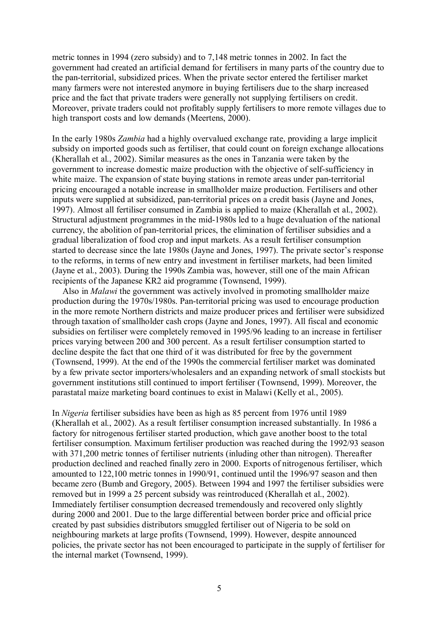metric tonnes in 1994 (zero subsidy) and to 7,148 metric tonnes in 2002. In fact the government had created an artificial demand for fertilisers in many parts of the country due to the pan-territorial, subsidized prices. When the private sector entered the fertiliser market many farmers were not interested anymore in buying fertilisers due to the sharp increased price and the fact that private traders were generally not supplying fertilisers on credit. Moreover, private traders could not profitably supply fertilisers to more remote villages due to high transport costs and low demands (Meertens, 2000).

In the early 1980s *Zambia* had a highly overvalued exchange rate, providing a large implicit subsidy on imported goods such as fertiliser, that could count on foreign exchange allocations (Kherallah et al., 2002). Similar measures as the ones in Tanzania were taken by the government to increase domestic maize production with the objective of self-sufficiency in white maize. The expansion of state buying stations in remote areas under pan-territorial pricing encouraged a notable increase in smallholder maize production. Fertilisers and other inputs were supplied at subsidized, pan-territorial prices on a credit basis (Jayne and Jones, 1997). Almost all fertiliser consumed in Zambia is applied to maize (Kherallah et al., 2002). Structural adjustment programmes in the mid-1980s led to a huge devaluation of the national currency, the abolition of pan-territorial prices, the elimination of fertiliser subsidies and a gradual liberalization of food crop and input markets. As a result fertiliser consumption started to decrease since the late 1980s (Jayne and Jones, 1997). The private sector's response to the reforms, in terms of new entry and investment in fertiliser markets, had been limited (Jayne et al., 2003). During the 1990s Zambia was, however, still one of the main African recipients of the Japanese KR2 aid programme (Townsend, 1999).

Also in *Malawi* the government was actively involved in promoting smallholder maize production during the 1970s/1980s. Pan-territorial pricing was used to encourage production in the more remote Northern districts and maize producer prices and fertiliser were subsidized through taxation of smallholder cash crops (Jayne and Jones, 1997). All fiscal and economic subsidies on fertiliser were completely removed in 1995/96 leading to an increase in fertiliser prices varying between 200 and 300 percent. As a result fertiliser consumption started to decline despite the fact that one third of it was distributed for free by the government (Townsend, 1999). At the end of the 1990s the commercial fertiliser market was dominated by a few private sector importers/wholesalers and an expanding network of small stockists but government institutions still continued to import fertiliser (Townsend, 1999). Moreover, the parastatal maize marketing board continues to exist in Malawi (Kelly et al., 2005).

In *Nigeria* fertiliser subsidies have been as high as 85 percent from 1976 until 1989 (Kherallah et al., 2002). As a result fertiliser consumption increased substantially. In 1986 a factory for nitrogenous fertiliser started production, which gave another boost to the total fertiliser consumption. Maximum fertiliser production was reached during the 1992/93 season with 371,200 metric tonnes of fertiliser nutrients (inluding other than nitrogen). Thereafter production declined and reached finally zero in 2000. Exports of nitrogenous fertiliser, which amounted to 122,100 metric tonnes in 1990/91, continued until the 1996/97 season and then became zero (Bumb and Gregory, 2005). Between 1994 and 1997 the fertiliser subsidies were removed but in 1999 a 25 percent subsidy was reintroduced (Kherallah et al., 2002). Immediately fertiliser consumption decreased tremendously and recovered only slightly during 2000 and 2001. Due to the large differential between border price and official price created by past subsidies distributors smuggled fertiliser out of Nigeria to be sold on neighbouring markets at large profits (Townsend, 1999). However, despite announced policies, the private sector has not been encouraged to participate in the supply of fertiliser for the internal market (Townsend, 1999).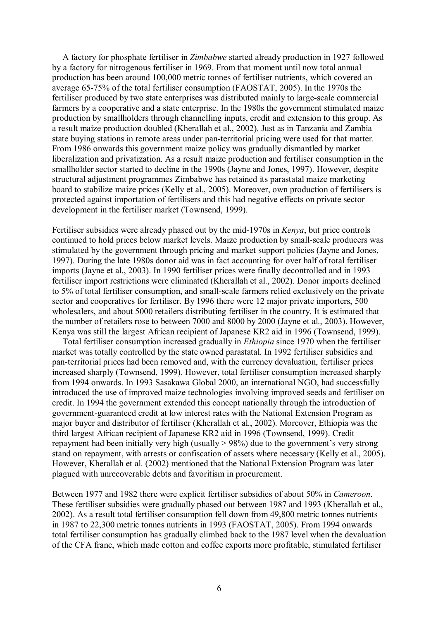A factory for phosphate fertiliser in *Zimbabwe* started already production in 1927 followed by a factory for nitrogenous fertiliser in 1969. From that moment until now total annual production has been around 100,000 metric tonnes of fertiliser nutrients, which covered an average 65-75% of the total fertiliser consumption (FAOSTAT, 2005). In the 1970s the fertiliser produced by two state enterprises was distributed mainly to large-scale commercial farmers by a cooperative and a state enterprise. In the 1980s the government stimulated maize production by smallholders through channelling inputs, credit and extension to this group. As a result maize production doubled (Kherallah et al., 2002). Just as in Tanzania and Zambia state buying stations in remote areas under pan-territorial pricing were used for that matter. From 1986 onwards this government maize policy was gradually dismantled by market liberalization and privatization. As a result maize production and fertiliser consumption in the smallholder sector started to decline in the 1990s (Jayne and Jones, 1997). However, despite structural adjustment programmes Zimbabwe has retained its parastatal maize marketing board to stabilize maize prices (Kelly et al., 2005). Moreover, own production of fertilisers is protected against importation of fertilisers and this had negative effects on private sector development in the fertiliser market (Townsend, 1999).

Fertiliser subsidies were already phased out by the mid-1970s in *Kenya*, but price controls continued to hold prices below market levels. Maize production by small-scale producers was stimulated by the government through pricing and market support policies (Jayne and Jones, 1997). During the late 1980s donor aid was in fact accounting for over half of total fertiliser imports (Jayne et al., 2003). In 1990 fertiliser prices were finally decontrolled and in 1993 fertiliser import restrictions were eliminated (Kherallah et al., 2002). Donor imports declined to 5% of total fertiliser consumption, and small-scale farmers relied exclusively on the private sector and cooperatives for fertiliser. By 1996 there were 12 major private importers, 500 wholesalers, and about 5000 retailers distributing fertiliser in the country. It is estimated that the number of retailers rose to between 7000 and 8000 by 2000 (Jayne et al., 2003). However, Kenya was still the largest African recipient of Japanese KR2 aid in 1996 (Townsend, 1999).

Total fertiliser consumption increased gradually in *Ethiopia* since 1970 when the fertiliser market was totally controlled by the state owned parastatal. In 1992 fertiliser subsidies and pan-territorial prices had been removed and, with the currency devaluation, fertiliser prices increased sharply (Townsend, 1999). However, total fertiliser consumption increased sharply from 1994 onwards. In 1993 Sasakawa Global 2000, an international NGO, had successfully introduced the use of improved maize technologies involving improved seeds and fertiliser on credit. In 1994 the government extended this concept nationally through the introduction of government-guaranteed credit at low interest rates with the National Extension Program as major buyer and distributor of fertiliser (Kherallah et al., 2002). Moreover, Ethiopia was the third largest African recipient of Japanese KR2 aid in 1996 (Townsend, 1999). Credit repayment had been initially very high (usually  $> 98\%$ ) due to the government's very strong stand on repayment, with arrests or confiscation of assets where necessary (Kelly et al., 2005). However, Kherallah et al. (2002) mentioned that the National Extension Program was later plagued with unrecoverable debts and favoritism in procurement.

Between 1977 and 1982 there were explicit fertiliser subsidies of about 50% in *Cameroon*. These fertiliser subsidies were gradually phased out between 1987 and 1993 (Kherallah et al., 2002). As a result total fertiliser consumption fell down from 49,800 metric tonnes nutrients in 1987 to 22,300 metric tonnes nutrients in 1993 (FAOSTAT, 2005). From 1994 onwards total fertiliser consumption has gradually climbed back to the 1987 level when the devaluation of the CFA franc, which made cotton and coffee exports more profitable, stimulated fertiliser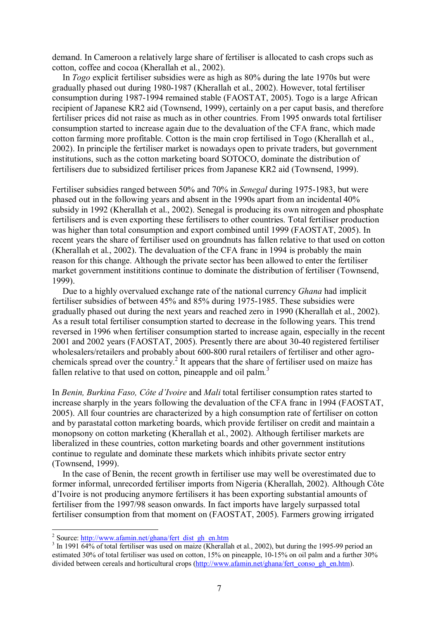demand. In Cameroon a relatively large share of fertiliser is allocated to cash crops such as cotton, coffee and cocoa (Kherallah et al., 2002).

In *Togo* explicit fertiliser subsidies were as high as 80% during the late 1970s but were gradually phased out during 1980-1987 (Kherallah et al., 2002). However, total fertiliser consumption during 1987-1994 remained stable (FAOSTAT, 2005). Togo is a large African recipient of Japanese KR2 aid (Townsend, 1999), certainly on a per caput basis, and therefore fertiliser prices did not raise as much as in other countries. From 1995 onwards total fertiliser consumption started to increase again due to the devaluation of the CFA franc, which made cotton farming more profitable. Cotton is the main crop fertilised in Togo (Kherallah et al., 2002). In principle the fertiliser market is nowadays open to private traders, but government institutions, such as the cotton marketing board SOTOCO, dominate the distribution of fertilisers due to subsidized fertiliser prices from Japanese KR2 aid (Townsend, 1999).

Fertiliser subsidies ranged between 50% and 70% in *Senegal* during 1975-1983, but were phased out in the following years and absent in the 1990s apart from an incidental 40% subsidy in 1992 (Kherallah et al., 2002). Senegal is producing its own nitrogen and phosphate fertilisers and is even exporting these fertilisers to other countries. Total fertiliser production was higher than total consumption and export combined until 1999 (FAOSTAT, 2005). In recent years the share of fertiliser used on groundnuts has fallen relative to that used on cotton (Kherallah et al., 2002). The devaluation of the CFA franc in 1994 is probably the main reason for this change. Although the private sector has been allowed to enter the fertiliser market government instititions continue to dominate the distribution of fertiliser (Townsend, 1999).

Due to a highly overvalued exchange rate of the national currency *Ghana* had implicit fertiliser subsidies of between 45% and 85% during 1975-1985. These subsidies were gradually phased out during the next years and reached zero in 1990 (Kherallah et al., 2002). As a result total fertiliser consumption started to decrease in the following years. This trend reversed in 1996 when fertiliser consumption started to increase again, especially in the recent 2001 and 2002 years (FAOSTAT, 2005). Presently there are about 30-40 registered fertiliser wholesalers/retailers and probably about 600-800 rural retailers of fertiliser and other agrochemicals spread over the country.<sup>2</sup> It appears that the share of fertiliser used on maize has fallen relative to that used on cotton, pineapple and oil palm.<sup>3</sup>

In *Benin, Burkina Faso, Côte d'Ivoire* and *Mali* total fertiliser consumption rates started to increase sharply in the years following the devaluation of the CFA franc in 1994 (FAOSTAT, 2005). All four countries are characterized by a high consumption rate of fertiliser on cotton and by parastatal cotton marketing boards, which provide fertiliser on credit and maintain a monopsony on cotton marketing (Kherallah et al., 2002). Although fertiliser markets are liberalized in these countries, cotton marketing boards and other government institutions continue to regulate and dominate these markets which inhibits private sector entry (Townsend, 1999).

In the case of Benin, the recent growth in fertiliser use may well be overestimated due to former informal, unrecorded fertiliser imports from Nigeria (Kherallah, 2002). Although Côte d'Ivoire is not producing anymore fertilisers it has been exporting substantial amounts of fertiliser from the 1997/98 season onwards. In fact imports have largely surpassed total fertiliser consumption from that moment on (FAOSTAT, 2005). Farmers growing irrigated

<sup>&</sup>lt;sup>2</sup> Source:  $\frac{http://www.afamin.net/ghana/fert_dist_gh_en.htm}{53}$  Jp. 1001.64% of total fortilisor was used on mairs (*K* begular

 $3 \text{ In } 1991$   $\overline{64\%}$  of total fertiliser was used on maize (Kherallah et al., 2002), but during the 1995-99 period an estimated 30% of total fertiliser was used on cotton, 15% on pineapple, 10-15% on oil palm and a further 30% divided between cereals and horticultural crops (http://www.afamin.net/ghana/fert\_conso\_gh\_en.htm).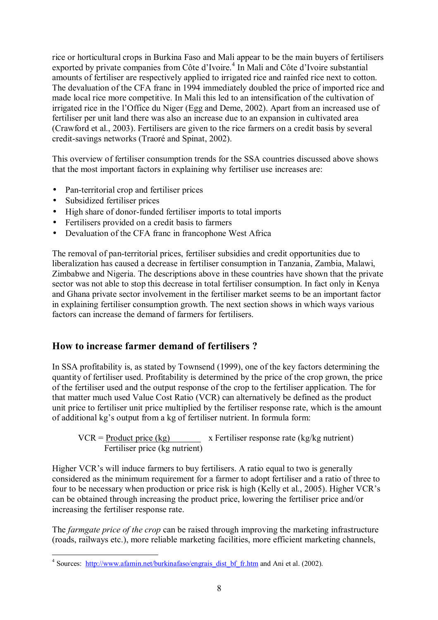rice or horticultural crops in Burkina Faso and Mali appear to be the main buyers of fertilisers exported by private companies from Côte d'Ivoire.<sup>4</sup> In Mali and Côte d'Ivoire substantial amounts of fertiliser are respectively applied to irrigated rice and rainfed rice next to cotton. The devaluation of the CFA franc in 1994 immediately doubled the price of imported rice and made local rice more competitive. In Mali this led to an intensification of the cultivation of irrigated rice in the l'Office du Niger (Egg and Deme, 2002). Apart from an increased use of fertiliser per unit land there was also an increase due to an expansion in cultivated area (Crawford et al., 2003). Fertilisers are given to the rice farmers on a credit basis by several credit-savings networks (TraorÈ and Spinat, 2002).

This overview of fertiliser consumption trends for the SSA countries discussed above shows that the most important factors in explaining why fertiliser use increases are:

- Pan-territorial crop and fertiliser prices
- Subsidized fertiliser prices

 $\overline{a}$ 

- High share of donor-funded fertiliser imports to total imports
- Fertilisers provided on a credit basis to farmers
- Devaluation of the CFA franc in francophone West Africa

The removal of pan-territorial prices, fertiliser subsidies and credit opportunities due to liberalization has caused a decrease in fertiliser consumption in Tanzania, Zambia, Malawi, Zimbabwe and Nigeria. The descriptions above in these countries have shown that the private sector was not able to stop this decrease in total fertiliser consumption. In fact only in Kenya and Ghana private sector involvement in the fertiliser market seems to be an important factor in explaining fertiliser consumption growth. The next section shows in which ways various factors can increase the demand of farmers for fertilisers.

## **How to increase farmer demand of fertilisers ?**

In SSA profitability is, as stated by Townsend (1999), one of the key factors determining the quantity of fertiliser used. Profitability is determined by the price of the crop grown, the price of the fertiliser used and the output response of the crop to the fertiliser application. The for that matter much used Value Cost Ratio (VCR) can alternatively be defined as the product unit price to fertiliser unit price multiplied by the fertiliser response rate, which is the amount of additional kg's output from a kg of fertiliser nutrient. In formula form:

$$
VCR = \underline{Product\ price\ (kg)} \qquad x \text{ Fertiliser response rate (kg/kg nutrient)}
$$
\n
$$
\underline{Fertiliser\ price\ (kg\ nutrient)}
$$

Higher VCR's will induce farmers to buy fertilisers. A ratio equal to two is generally considered as the minimum requirement for a farmer to adopt fertiliser and a ratio of three to four to be necessary when production or price risk is high (Kelly et al., 2005). Higher VCR's can be obtained through increasing the product price, lowering the fertiliser price and/or increasing the fertiliser response rate.

The *farmgate price of the crop* can be raised through improving the marketing infrastructure (roads, railways etc.), more reliable marketing facilities, more efficient marketing channels,

<sup>&</sup>lt;sup>4</sup> Sources: http://www.afamin.net/burkinafaso/engrais dist bf fr.htm and Ani et al. (2002).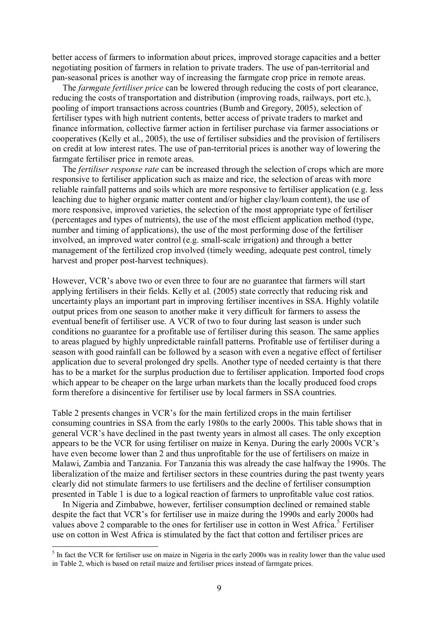better access of farmers to information about prices, improved storage capacities and a better negotiating position of farmers in relation to private traders. The use of pan-territorial and pan-seasonal prices is another way of increasing the farmgate crop price in remote areas.

The *farmgate fertiliser price* can be lowered through reducing the costs of port clearance, reducing the costs of transportation and distribution (improving roads, railways, port etc.), pooling of import transactions across countries (Bumb and Gregory, 2005), selection of fertiliser types with high nutrient contents, better access of private traders to market and finance information, collective farmer action in fertiliser purchase via farmer associations or cooperatives (Kelly et al., 2005), the use of fertiliser subsidies and the provision of fertilisers on credit at low interest rates. The use of pan-territorial prices is another way of lowering the farmgate fertiliser price in remote areas.

The *fertiliser response rate* can be increased through the selection of crops which are more responsive to fertiliser application such as maize and rice, the selection of areas with more reliable rainfall patterns and soils which are more responsive to fertiliser application (e.g. less leaching due to higher organic matter content and/or higher clay/loam content), the use of more responsive, improved varieties, the selection of the most appropriate type of fertiliser (percentages and types of nutrients), the use of the most efficient application method (type, number and timing of applications), the use of the most performing dose of the fertiliser involved, an improved water control (e.g. small-scale irrigation) and through a better management of the fertilized crop involved (timely weeding, adequate pest control, timely harvest and proper post-harvest techniques).

However, VCR's above two or even three to four are no guarantee that farmers will start applying fertilisers in their fields. Kelly et al. (2005) state correctly that reducing risk and uncertainty plays an important part in improving fertiliser incentives in SSA. Highly volatile output prices from one season to another make it very difficult for farmers to assess the eventual benefit of fertiliser use. A VCR of two to four during last season is under such conditions no guarantee for a profitable use of fertiliser during this season. The same applies to areas plagued by highly unpredictable rainfall patterns. Profitable use of fertiliser during a season with good rainfall can be followed by a season with even a negative effect of fertiliser application due to several prolonged dry spells. Another type of needed certainty is that there has to be a market for the surplus production due to fertiliser application. Imported food crops which appear to be cheaper on the large urban markets than the locally produced food crops form therefore a disincentive for fertiliser use by local farmers in SSA countries.

Table 2 presents changes in VCR's for the main fertilized crops in the main fertiliser consuming countries in SSA from the early 1980s to the early 2000s. This table shows that in general VCR's have declined in the past twenty years in almost all cases. The only exception appears to be the VCR for using fertiliser on maize in Kenya. During the early 2000s VCR's have even become lower than 2 and thus unprofitable for the use of fertilisers on maize in Malawi, Zambia and Tanzania. For Tanzania this was already the case halfway the 1990s. The liberalization of the maize and fertiliser sectors in these countries during the past twenty years clearly did not stimulate farmers to use fertilisers and the decline of fertiliser consumption presented in Table 1 is due to a logical reaction of farmers to unprofitable value cost ratios.

In Nigeria and Zimbabwe, however, fertiliser consumption declined or remained stable despite the fact that VCR's for fertiliser use in maize during the 1990s and early 2000s had values above 2 comparable to the ones for fertiliser use in cotton in West Africa.<sup>5</sup> Fertiliser use on cotton in West Africa is stimulated by the fact that cotton and fertiliser prices are

<sup>&</sup>lt;sup>5</sup> In fact the VCR for fertiliser use on maize in Nigeria in the early 2000s was in reality lower than the value used in Table 2, which is based on retail maize and fertiliser prices instead of farmgate prices.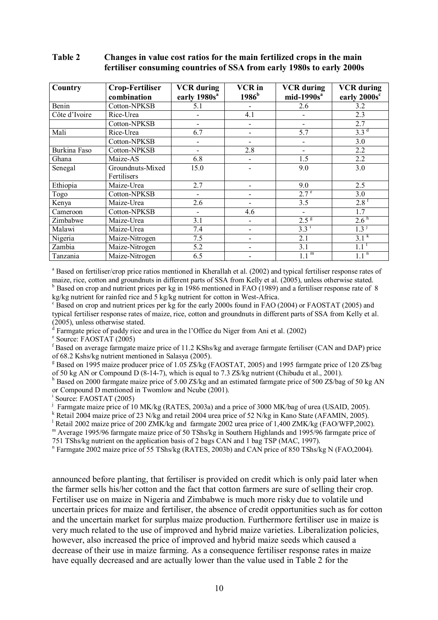#### **Table 2 Changes in value cost ratios for the main fertilized crops in the main fertiliser consuming countries of SSA from early 1980s to early 2000s**

| Country       | <b>Crop-Fertiliser</b><br>combination | <b>VCR</b> during<br>early 1980s <sup>a</sup> | <b>VCR</b> in<br>1986 <sup>b</sup> | <b>VCR</b> during<br>$mid-1990sa$ | <b>VCR</b> during<br>early 2000s <sup>c</sup> |
|---------------|---------------------------------------|-----------------------------------------------|------------------------------------|-----------------------------------|-----------------------------------------------|
| Benin         | Cotton-NPKSB                          | 5.1                                           | -                                  | 2.6                               | 3.2                                           |
| Côte d'Ivoire | Rice-Urea                             |                                               | 4.1                                |                                   | 2.3                                           |
|               | Cotton-NPKSB                          |                                               |                                    |                                   | 2.7                                           |
| Mali          | Rice-Urea                             | 6.7                                           |                                    | 5.7                               | 3.3 <sup>d</sup>                              |
|               | Cotton-NPKSB                          |                                               | $\overline{\phantom{0}}$           |                                   | 3.0                                           |
| Burkina Faso  | Cotton-NPKSB                          |                                               | 2.8                                |                                   | 2.2                                           |
| Ghana         | Maize-AS                              | 6.8                                           | -                                  | 1.5                               | 2.2                                           |
| Senegal       | Groundnuts-Mixed                      | 15.0                                          |                                    | 9.0                               | $\overline{3.0}$                              |
|               | Fertilisers                           |                                               |                                    |                                   |                                               |
| Ethiopia      | Maize-Urea                            | 2.7                                           |                                    | 9.0                               | 2.5                                           |
| Togo          | Cotton-NPKSB                          |                                               |                                    | 2.7 <sup>e</sup>                  | 3.0                                           |
| Kenya         | Maize-Urea                            | 2.6                                           |                                    | 3.5                               | $2.8^{\rm f}$                                 |
| Cameroon      | Cotton-NPKSB                          | $\overline{a}$                                | 4.6                                | $\overline{\phantom{0}}$          | 1.7                                           |
| Zimbabwe      | Maize-Urea                            | 3.1                                           | $\overline{\phantom{0}}$           | 2.5 <sup>g</sup>                  | 2.6 <sup>h</sup>                              |
| Malawi        | Maize-Urea                            | 7.4                                           | -                                  | $3.3^{1}$                         | 1.3 <sup>J</sup>                              |
| Nigeria       | Maize-Nitrogen                        | 7.5                                           |                                    | 2.1                               | $3.1^{k}$                                     |
| Zambia        | Maize-Nitrogen                        | 5.2                                           | -                                  | 3.1                               | 1.1                                           |
| Tanzania      | Maize-Nitrogen                        | 6.5                                           |                                    | m                                 | $1.1^{\overline{n}}$                          |

<sup>a</sup> Based on fertiliser/crop price ratios mentioned in Kherallah et al. (2002) and typical fertiliser response rates of maize, rice, cotton and groundnuts in different parts of SSA from Kelly et al. (2005), unless otherwise stated. <sup>b</sup> Based on crop and nutrient prices per kg in 1986 mentioned in FAO (1989) and a fertiliser response rate of 8

kg/kg nutrient for rainfed rice and 5 kg/kg nutrient for cotton in West-Africa.

<sup>c</sup> Based on crop and nutrient prices per kg for the early 2000s found in FAO (2004) or FAOSTAT (2005) and typical fertiliser response rates of maize, rice, cotton and groundnuts in different parts of SSA from Kelly et al. (2005), unless otherwise stated.

 $d$  Farmgate price of paddy rice and urea in the l'Office du Niger from Ani et al. (2002)

e Source: FAOSTAT (2005)

f Based on average farmgate maize price of 11.2 KShs/kg and average farmgate fertiliser (CAN and DAP) price of 68.2 Kshs/kg nutrient mentioned in Salasya (2005).

<sup>g</sup> Based on 1995 maize producer price of 1.05 Z\$/kg (FAOSTAT, 2005) and 1995 farmgate price of 120 Z\$/bag of 50 kg AN or Compound D (8-14-7), which is equal to 7.3 Z\$/kg nutrient (Chibudu et al., 2001).

<sup>h</sup> Based on 2000 farmgate maize price of 5.00 Z\$/kg and an estimated farmgate price of 500 Z\$/bag of 50 kg AN or Compound D mentioned in Twomlow and Ncube (2001).

<sup>i</sup> Source: FAOSTAT (2005)

<sup>j</sup> Farmgate maize price of 10 MK/kg (RATES, 2003a) and a price of 3000 MK/bag of urea (USAID, 2005).

<sup>k</sup> Retail 2004 maize price of 23 N/kg and retail 2004 urea price of 52 N/kg in Kano State (AFAMIN, 2005).

<sup>1</sup> Retail 2002 maize price of 200 ZMK/kg and farmgate 2002 urea price of 1,400 ZMK/kg (FAO/WFP,2002).

m Average 1995/96 farmgate maize price of 50 TShs/kg in Southern Highlands and 1995/96 farmgate price of 751 TShs/kg nutrient on the application basis of 2 bags CAN and 1 bag TSP (MAC, 1997).

<sup>n</sup> Farmgate 2002 maize price of 55 TShs/kg (RATES, 2003b) and CAN price of 850 TShs/kg N (FAO, 2004).

announced before planting, that fertiliser is provided on credit which is only paid later when the farmer sells his/her cotton and the fact that cotton farmers are sure of selling their crop. Fertiliser use on maize in Nigeria and Zimbabwe is much more risky due to volatile und uncertain prices for maize and fertiliser, the absence of credit opportunities such as for cotton and the uncertain market for surplus maize production. Furthermore fertiliser use in maize is very much related to the use of improved and hybrid maize varieties. Liberalization policies, however, also increased the price of improved and hybrid maize seeds which caused a decrease of their use in maize farming. As a consequence fertiliser response rates in maize have equally decreased and are actually lower than the value used in Table 2 for the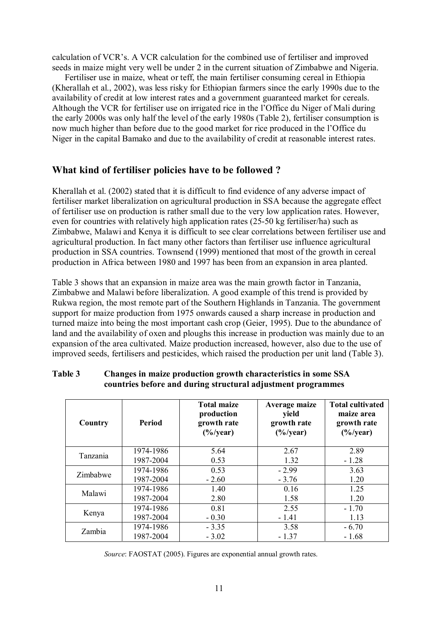calculation of VCR's. A VCR calculation for the combined use of fertiliser and improved seeds in maize might very well be under 2 in the current situation of Zimbabwe and Nigeria.

 Fertiliser use in maize, wheat or teff, the main fertiliser consuming cereal in Ethiopia (Kherallah et al., 2002), was less risky for Ethiopian farmers since the early 1990s due to the availability of credit at low interest rates and a government guaranteed market for cereals. Although the VCR for fertiliser use on irrigated rice in the l'Office du Niger of Mali during the early 2000s was only half the level of the early 1980s (Table 2), fertiliser consumption is now much higher than before due to the good market for rice produced in the l'Office du Niger in the capital Bamako and due to the availability of credit at reasonable interest rates.

## **What kind of fertiliser policies have to be followed ?**

Kherallah et al. (2002) stated that it is difficult to find evidence of any adverse impact of fertiliser market liberalization on agricultural production in SSA because the aggregate effect of fertiliser use on production is rather small due to the very low application rates. However, even for countries with relatively high application rates (25-50 kg fertiliser/ha) such as Zimbabwe, Malawi and Kenya it is difficult to see clear correlations between fertiliser use and agricultural production. In fact many other factors than fertiliser use influence agricultural production in SSA countries. Townsend (1999) mentioned that most of the growth in cereal production in Africa between 1980 and 1997 has been from an expansion in area planted.

Table 3 shows that an expansion in maize area was the main growth factor in Tanzania, Zimbabwe and Malawi before liberalization. A good example of this trend is provided by Rukwa region, the most remote part of the Southern Highlands in Tanzania. The government support for maize production from 1975 onwards caused a sharp increase in production and turned maize into being the most important cash crop (Geier, 1995). Due to the abundance of land and the availability of oxen and ploughs this increase in production was mainly due to an expansion of the area cultivated. Maize production increased, however, also due to the use of improved seeds, fertilisers and pesticides, which raised the production per unit land (Table 3).

| Country         | Period    | <b>Total maize</b><br>production<br>growth rate<br>$(\frac{6}{y}$ ear) | Average maize<br>yield<br>growth rate<br>$(\frac{6}{9})$ year) | <b>Total cultivated</b><br>maize area<br>growth rate<br>$(\frac{6}{y}$ ear) |
|-----------------|-----------|------------------------------------------------------------------------|----------------------------------------------------------------|-----------------------------------------------------------------------------|
| <b>Tanzania</b> | 1974-1986 | 5.64                                                                   | 2.67                                                           | 2.89                                                                        |
|                 | 1987-2004 | 0.53                                                                   | 1.32                                                           | $-1.28$                                                                     |
| Zimbabwe        | 1974-1986 | 0.53                                                                   | $-2.99$                                                        | 3.63                                                                        |
|                 | 1987-2004 | $-2.60$                                                                | $-3.76$                                                        | 1.20                                                                        |
| Malawi          | 1974-1986 | 1.40                                                                   | 0.16                                                           | 1.25                                                                        |
|                 | 1987-2004 | 2.80                                                                   | 1.58                                                           | 1.20                                                                        |
|                 | 1974-1986 | 0.81                                                                   | 2.55                                                           | $-1.70$                                                                     |
| Kenya           | 1987-2004 | $-0.30$                                                                | $-1.41$                                                        | 1.13                                                                        |
| Zambia          | 1974-1986 | $-3.35$                                                                | 3.58                                                           | $-6.70$                                                                     |
|                 | 1987-2004 | $-3.02$                                                                | $-1.37$                                                        | $-1.68$                                                                     |

#### **Table 3 Changes in maize production growth characteristics in some SSA countries before and during structural adjustment programmes**

*Source*: FAOSTAT (2005). Figures are exponential annual growth rates.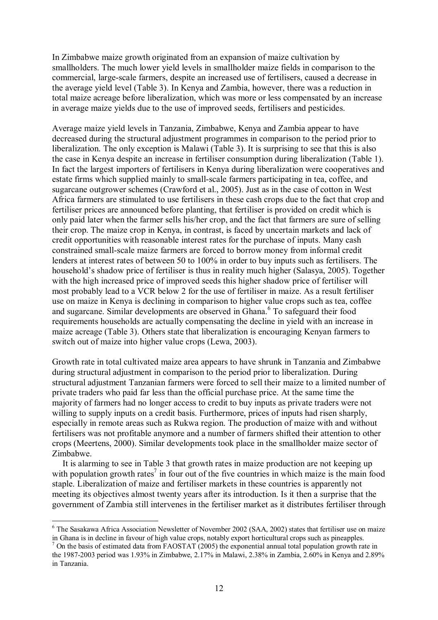In Zimbabwe maize growth originated from an expansion of maize cultivation by smallholders. The much lower yield levels in smallholder maize fields in comparison to the commercial, large-scale farmers, despite an increased use of fertilisers, caused a decrease in the average yield level (Table 3). In Kenya and Zambia, however, there was a reduction in total maize acreage before liberalization, which was more or less compensated by an increase in average maize yields due to the use of improved seeds, fertilisers and pesticides.

Average maize yield levels in Tanzania, Zimbabwe, Kenya and Zambia appear to have decreased during the structural adjustment programmes in comparison to the period prior to liberalization. The only exception is Malawi (Table 3). It is surprising to see that this is also the case in Kenya despite an increase in fertiliser consumption during liberalization (Table 1). In fact the largest importers of fertilisers in Kenya during liberalization were cooperatives and estate firms which supplied mainly to small-scale farmers participating in tea, coffee, and sugarcane outgrower schemes (Crawford et al., 2005). Just as in the case of cotton in West Africa farmers are stimulated to use fertilisers in these cash crops due to the fact that crop and fertiliser prices are announced before planting, that fertiliser is provided on credit which is only paid later when the farmer sells his/her crop, and the fact that farmers are sure of selling their crop. The maize crop in Kenya, in contrast, is faced by uncertain markets and lack of credit opportunities with reasonable interest rates for the purchase of inputs. Many cash constrained small-scale maize farmers are forced to borrow money from informal credit lenders at interest rates of between 50 to 100% in order to buy inputs such as fertilisers. The household's shadow price of fertiliser is thus in reality much higher (Salasya, 2005). Together with the high increased price of improved seeds this higher shadow price of fertiliser will most probably lead to a VCR below 2 for the use of fertiliser in maize. As a result fertiliser use on maize in Kenya is declining in comparison to higher value crops such as tea, coffee and sugarcane. Similar developments are observed in Ghana.<sup>6</sup> To safeguard their food requirements households are actually compensating the decline in yield with an increase in maize acreage (Table 3). Others state that liberalization is encouraging Kenyan farmers to switch out of maize into higher value crops (Lewa, 2003).

Growth rate in total cultivated maize area appears to have shrunk in Tanzania and Zimbabwe during structural adjustment in comparison to the period prior to liberalization. During structural adjustment Tanzanian farmers were forced to sell their maize to a limited number of private traders who paid far less than the official purchase price. At the same time the majority of farmers had no longer access to credit to buy inputs as private traders were not willing to supply inputs on a credit basis. Furthermore, prices of inputs had risen sharply, especially in remote areas such as Rukwa region. The production of maize with and without fertilisers was not profitable anymore and a number of farmers shifted their attention to other crops (Meertens, 2000). Similar developments took place in the smallholder maize sector of Zimbabwe.

It is alarming to see in Table 3 that growth rates in maize production are not keeping up with population growth rates<sup>7</sup> in four out of the five countries in which maize is the main food staple. Liberalization of maize and fertiliser markets in these countries is apparently not meeting its objectives almost twenty years after its introduction. Is it then a surprise that the government of Zambia still intervenes in the fertiliser market as it distributes fertiliser through

 $\overline{a}$ <sup>6</sup> The Sasakawa Africa Association Newsletter of November 2002 (SAA, 2002) states that fertiliser use on maize in Ghana is in decline in favour of high value crops, notably export horticultural crops such as pineapples.

<sup>&</sup>lt;sup>7</sup> On the basis of estimated data from FAOSTAT (2005) the exponential annual total population growth rate in the 1987-2003 period was 1.93% in Zimbabwe, 2.17% in Malawi, 2.38% in Zambia, 2.60% in Kenya and 2.89% in Tanzania.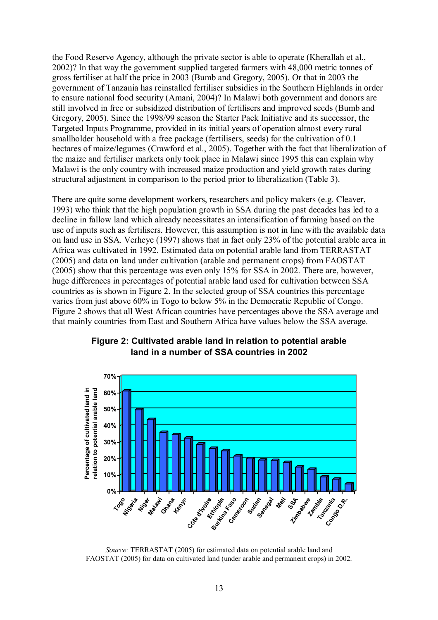the Food Reserve Agency, although the private sector is able to operate (Kherallah et al., 2002)? In that way the government supplied targeted farmers with 48,000 metric tonnes of gross fertiliser at half the price in 2003 (Bumb and Gregory, 2005). Or that in 2003 the government of Tanzania has reinstalled fertiliser subsidies in the Southern Highlands in order to ensure national food security (Amani, 2004)? In Malawi both government and donors are still involved in free or subsidized distribution of fertilisers and improved seeds (Bumb and Gregory, 2005). Since the 1998/99 season the Starter Pack Initiative and its successor, the Targeted Inputs Programme, provided in its initial years of operation almost every rural smallholder household with a free package (fertilisers, seeds) for the cultivation of 0.1 hectares of maize/legumes (Crawford et al., 2005). Together with the fact that liberalization of the maize and fertiliser markets only took place in Malawi since 1995 this can explain why Malawi is the only country with increased maize production and yield growth rates during structural adjustment in comparison to the period prior to liberalization (Table 3).

There are quite some development workers, researchers and policy makers (e.g. Cleaver, 1993) who think that the high population growth in SSA during the past decades has led to a decline in fallow land which already necessitates an intensification of farming based on the use of inputs such as fertilisers. However, this assumption is not in line with the available data on land use in SSA. Verheye (1997) shows that in fact only 23% of the potential arable area in Africa was cultivated in 1992. Estimated data on potential arable land from TERRASTAT (2005) and data on land under cultivation (arable and permanent crops) from FAOSTAT (2005) show that this percentage was even only 15% for SSA in 2002. There are, however, huge differences in percentages of potential arable land used for cultivation between SSA countries as is shown in Figure 2. In the selected group of SSA countries this percentage varies from just above 60% in Togo to below 5% in the Democratic Republic of Congo. Figure 2 shows that all West African countries have percentages above the SSA average and that mainly countries from East and Southern Africa have values below the SSA average.



## **Figure 2: Cultivated arable land in relation to potential arable land in a number of SSA countries in 2002**

*Source:* TERRASTAT (2005) for estimated data on potential arable land and FAOSTAT (2005) for data on cultivated land (under arable and permanent crops) in 2002.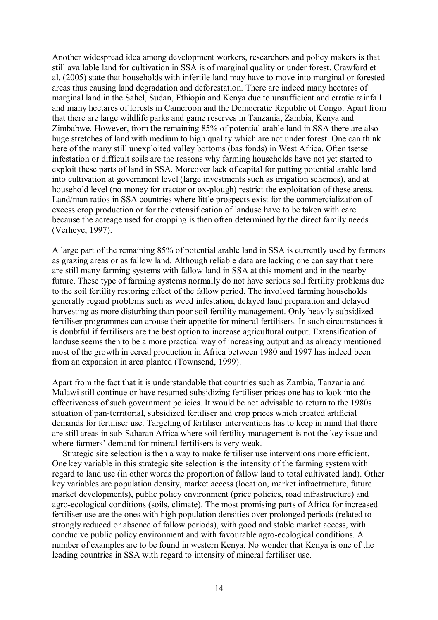Another widespread idea among development workers, researchers and policy makers is that still available land for cultivation in SSA is of marginal quality or under forest. Crawford et al. (2005) state that households with infertile land may have to move into marginal or forested areas thus causing land degradation and deforestation. There are indeed many hectares of marginal land in the Sahel, Sudan, Ethiopia and Kenya due to unsufficient and erratic rainfall and many hectares of forests in Cameroon and the Democratic Republic of Congo. Apart from that there are large wildlife parks and game reserves in Tanzania, Zambia, Kenya and Zimbabwe. However, from the remaining 85% of potential arable land in SSA there are also huge stretches of land with medium to high quality which are not under forest. One can think here of the many still unexploited valley bottoms (bas fonds) in West Africa. Often tsetse infestation or difficult soils are the reasons why farming households have not yet started to exploit these parts of land in SSA. Moreover lack of capital for putting potential arable land into cultivation at government level (large investments such as irrigation schemes), and at household level (no money for tractor or ox-plough) restrict the exploitation of these areas. Land/man ratios in SSA countries where little prospects exist for the commercialization of excess crop production or for the extensification of landuse have to be taken with care because the acreage used for cropping is then often determined by the direct family needs (Verheye, 1997).

A large part of the remaining 85% of potential arable land in SSA is currently used by farmers as grazing areas or as fallow land. Although reliable data are lacking one can say that there are still many farming systems with fallow land in SSA at this moment and in the nearby future. These type of farming systems normally do not have serious soil fertility problems due to the soil fertility restoring effect of the fallow period. The involved farming households generally regard problems such as weed infestation, delayed land preparation and delayed harvesting as more disturbing than poor soil fertility management. Only heavily subsidized fertiliser programmes can arouse their appetite for mineral fertilisers. In such circumstances it is doubtful if fertilisers are the best option to increase agricultural output. Extensification of landuse seems then to be a more practical way of increasing output and as already mentioned most of the growth in cereal production in Africa between 1980 and 1997 has indeed been from an expansion in area planted (Townsend, 1999).

Apart from the fact that it is understandable that countries such as Zambia, Tanzania and Malawi still continue or have resumed subsidizing fertiliser prices one has to look into the effectiveness of such government policies. It would be not advisable to return to the 1980s situation of pan-territorial, subsidized fertiliser and crop prices which created artificial demands for fertiliser use. Targeting of fertiliser interventions has to keep in mind that there are still areas in sub-Saharan Africa where soil fertility management is not the key issue and where farmers' demand for mineral fertilisers is very weak.

Strategic site selection is then a way to make fertiliser use interventions more efficient. One key variable in this strategic site selection is the intensity of the farming system with regard to land use (in other words the proportion of fallow land to total cultivated land). Other key variables are population density, market access (location, market infractructure, future market developments), public policy environment (price policies, road infrastructure) and agro-ecological conditions (soils, climate). The most promising parts of Africa for increased fertiliser use are the ones with high population densities over prolonged periods (related to strongly reduced or absence of fallow periods), with good and stable market access, with conducive public policy environment and with favourable agro-ecological conditions. A number of examples are to be found in western Kenya. No wonder that Kenya is one of the leading countries in SSA with regard to intensity of mineral fertiliser use.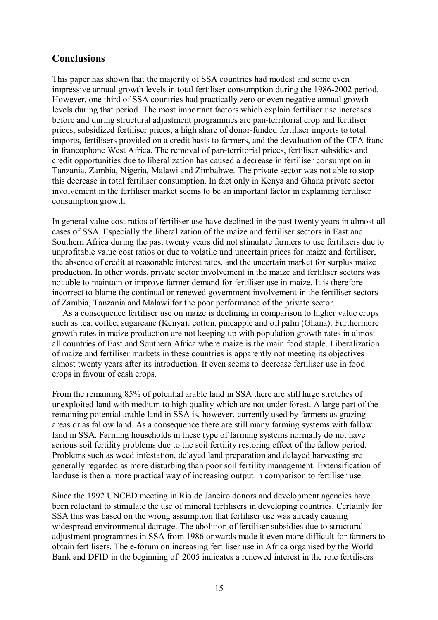## **Conclusions**

This paper has shown that the majority of SSA countries had modest and some even impressive annual growth levels in total fertiliser consumption during the 1986-2002 period. However, one third of SSA countries had practically zero or even negative annual growth levels during that period. The most important factors which explain fertiliser use increases before and during structural adjustment programmes are pan-territorial crop and fertiliser prices, subsidized fertiliser prices, a high share of donor-funded fertiliser imports to total imports, fertilisers provided on a credit basis to farmers, and the devaluation of the CFA franc in francophone West Africa. The removal of pan-territorial prices, fertiliser subsidies and credit opportunities due to liberalization has caused a decrease in fertiliser consumption in Tanzania, Zambia, Nigeria, Malawi and Zimbabwe. The private sector was not able to stop this decrease in total fertiliser consumption. In fact only in Kenya and Ghana private sector involvement in the fertiliser market seems to be an important factor in explaining fertiliser consumption growth.

In general value cost ratios of fertiliser use have declined in the past twenty years in almost all cases of SSA. Especially the liberalization of the maize and fertiliser sectors in East and Southern Africa during the past twenty years did not stimulate farmers to use fertilisers due to unprofitable value cost ratios or due to volatile und uncertain prices for maize and fertiliser, the absence of credit at reasonable interest rates, and the uncertain market for surplus maize production. In other words, private sector involvement in the maize and fertiliser sectors was not able to maintain or improve farmer demand for fertiliser use in maize. It is therefore incorrect to blame the continual or renewed government involvement in the fertiliser sectors of Zambia, Tanzania and Malawi for the poor performance of the private sector.

As a consequence fertiliser use on maize is declining in comparison to higher value crops such as tea, coffee, sugarcane (Kenya), cotton, pineapple and oil palm (Ghana). Furthermore growth rates in maize production are not keeping up with population growth rates in almost all countries of East and Southern Africa where maize is the main food staple. Liberalization of maize and fertiliser markets in these countries is apparently not meeting its objectives almost twenty years after its introduction. It even seems to decrease fertiliser use in food crops in favour of cash crops.

From the remaining 85% of potential arable land in SSA there are still huge stretches of unexploited land with medium to high quality which are not under forest. A large part of the remaining potential arable land in SSA is, however, currently used by farmers as grazing areas or as fallow land. As a consequence there are still many farming systems with fallow land in SSA. Farming households in these type of farming systems normally do not have serious soil fertility problems due to the soil fertility restoring effect of the fallow period. Problems such as weed infestation, delayed land preparation and delayed harvesting are generally regarded as more disturbing than poor soil fertility management. Extensification of landuse is then a more practical way of increasing output in comparison to fertiliser use.

Since the 1992 UNCED meeting in Rio de Janeiro donors and development agencies have been reluctant to stimulate the use of mineral fertilisers in developing countries. Certainly for SSA this was based on the wrong assumption that fertiliser use was already causing widespread environmental damage. The abolition of fertiliser subsidies due to structural adjustment programmes in SSA from 1986 onwards made it even more difficult for farmers to obtain fertilisers. The e-forum on increasing fertiliser use in Africa organised by the World Bank and DFID in the beginning of 2005 indicates a renewed interest in the role fertilisers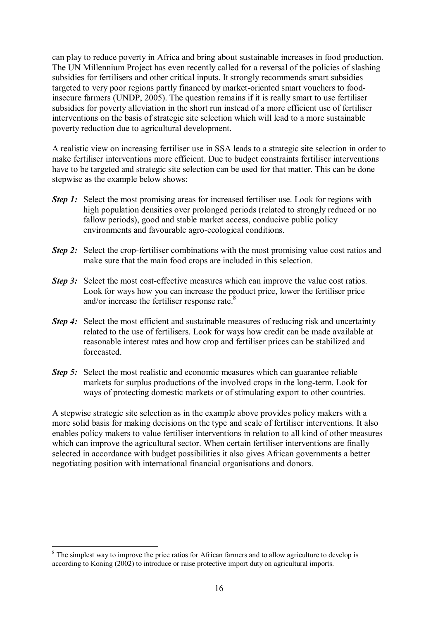can play to reduce poverty in Africa and bring about sustainable increases in food production. The UN Millennium Project has even recently called for a reversal of the policies of slashing subsidies for fertilisers and other critical inputs. It strongly recommends smart subsidies targeted to very poor regions partly financed by market-oriented smart vouchers to foodinsecure farmers (UNDP, 2005). The question remains if it is really smart to use fertiliser subsidies for poverty alleviation in the short run instead of a more efficient use of fertiliser interventions on the basis of strategic site selection which will lead to a more sustainable poverty reduction due to agricultural development.

A realistic view on increasing fertiliser use in SSA leads to a strategic site selection in order to make fertiliser interventions more efficient. Due to budget constraints fertiliser interventions have to be targeted and strategic site selection can be used for that matter. This can be done stepwise as the example below shows:

- *Step 1:* Select the most promising areas for increased fertiliser use. Look for regions with high population densities over prolonged periods (related to strongly reduced or no fallow periods), good and stable market access, conducive public policy environments and favourable agro-ecological conditions.
- *Step 2:* Select the crop-fertiliser combinations with the most promising value cost ratios and make sure that the main food crops are included in this selection.
- *Step 3:* Select the most cost-effective measures which can improve the value cost ratios. Look for ways how you can increase the product price, lower the fertiliser price and/or increase the fertiliser response rate.<sup>8</sup>
- *Step 4:* Select the most efficient and sustainable measures of reducing risk and uncertainty related to the use of fertilisers. Look for ways how credit can be made available at reasonable interest rates and how crop and fertiliser prices can be stabilized and forecasted.
- *Step 5:* Select the most realistic and economic measures which can guarantee reliable markets for surplus productions of the involved crops in the long-term. Look for ways of protecting domestic markets or of stimulating export to other countries.

A stepwise strategic site selection as in the example above provides policy makers with a more solid basis for making decisions on the type and scale of fertiliser interventions. It also enables policy makers to value fertiliser interventions in relation to all kind of other measures which can improve the agricultural sector. When certain fertiliser interventions are finally selected in accordance with budget possibilities it also gives African governments a better negotiating position with international financial organisations and donors.

 $\overline{a}$ 

<sup>&</sup>lt;sup>8</sup> The simplest way to improve the price ratios for African farmers and to allow agriculture to develop is according to Koning (2002) to introduce or raise protective import duty on agricultural imports.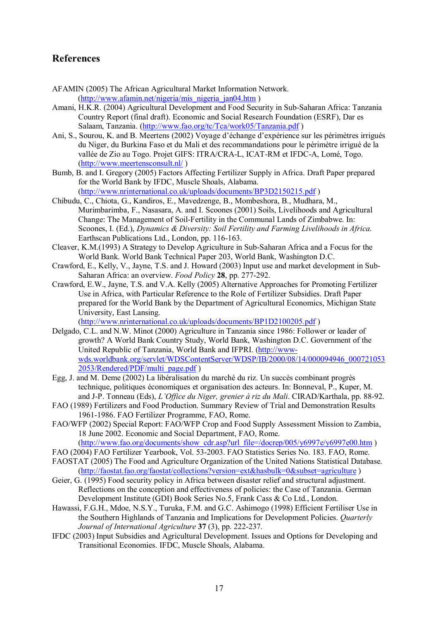## **References**

- AFAMIN (2005) The African Agricultural Market Information Network. (http://www.afamin.net/nigeria/mis\_nigeria\_jan04.htm )
- Amani, H.K.R. (2004) Agricultural Development and Food Security in Sub-Saharan Africa: Tanzania Country Report (final draft). Economic and Social Research Foundation (ESRF), Dar es Salaam, Tanzania. (http://www.fao.org/tc/Tca/work05/Tanzania.pdf )
- Ani, S., Sourou, K. and B. Meertens (2002) Voyage d'échange d'expérience sur les périmètres irrigués du Niger, du Burkina Faso et du Mali et des recommandations pour le périmètre irrigué de la vallée de Zio au Togo. Projet GIFS: ITRA/CRA-L, ICAT-RM et IFDC-A, Lomé, Togo. (http://www.meertensconsult.nl/ )
- Bumb, B. and I. Gregory (2005) Factors Affecting Fertilizer Supply in Africa. Draft Paper prepared for the World Bank by IFDC, Muscle Shoals, Alabama.

(http://www.nrinternational.co.uk/uploads/documents/BP3D2150215.pdf )

- Chibudu, C., Chiota, G., Kandiros, E., Mavedzenge, B., Mombeshora, B., Mudhara, M., Murimbarimba, F., Nasasara, A. and I. Scoones (2001) Soils, Livelihoods and Agricultural Change: The Management of Soil-Fertility in the Communal Lands of Zimbabwe. In: Scoones, I. (Ed.), *Dynamics & Diversity: Soil Fertility and Farming Livelihoods in Africa*. Earthscan Publications Ltd., London, pp. 116-163.
- Cleaver, K.M.(1993) A Strategy to Develop Agriculture in Sub-Saharan Africa and a Focus for the World Bank. World Bank Technical Paper 203, World Bank, Washington D.C.
- Crawford, E., Kelly, V., Jayne, T.S. and J. Howard (2003) Input use and market development in Sub-Saharan Africa: an overview. *Food Policy* **28**, pp. 277-292.
- Crawford, E.W., Jayne, T.S. and V.A. Kelly (2005) Alternative Approaches for Promoting Fertilizer Use in Africa, with Particular Reference to the Role of Fertilizer Subsidies. Draft Paper prepared for the World Bank by the Department of Agricultural Economics, Michigan State University, East Lansing.

(http://www.nrinternational.co.uk/uploads/documents/BP1D2100205.pdf )

- Delgado, C.L. and N.W. Minot (2000) Agriculture in Tanzania since 1986: Follower or leader of growth? A World Bank Country Study, World Bank, Washington D.C. Government of the United Republic of Tanzania, World Bank and IFPRI. (http://wwwwds.worldbank.org/servlet/WDSContentServer/WDSP/IB/2000/08/14/000094946\_000721053 2053/Rendered/PDF/multi\_page.pdf )
- Egg, J. and M. Deme (2002) La libéralisation du marché du riz. Un succès combinant progrès technique, politiques Èconomiques et organisation des acteurs. In: Bonneval, P., Kuper, M. and J-P. Tonneau (Eds), *L'Office du Niger, grenier à riz du Mali*. CIRAD/Karthala, pp. 88-92.
- FAO (1989) Fertilizers and Food Production. Summary Review of Trial and Demonstration Results 1961-1986. FAO Fertilizer Programme, FAO, Rome.
- FAO/WFP (2002) Special Report: FAO/WFP Crop and Food Supply Assessment Mission to Zambia, 18 June 2002. Economic and Social Department, FAO, Rome.

(http://www.fao.org/documents/show\_cdr.asp?url\_file=/docrep/005/y6997e/y6997e00.htm )

- FAO (2004) FAO Fertilizer Yearbook, Vol. 53-2003. FAO Statistics Series No. 183. FAO, Rome.
- FAOSTAT (2005) The Food and Agriculture Organization of the United Nations Statistical Database. (http://faostat.fao.org/faostat/collections?version=ext&hasbulk=0&subset=agriculture )
- Geier, G. (1995) Food security policy in Africa between disaster relief and structural adjustment. Reflections on the conception and effectiveness of policies: the Case of Tanzania. German Development Institute (GDI) Book Series No.5, Frank Cass & Co Ltd., London.
- Hawassi, F.G.H., Mdoe, N.S.Y., Turuka, F.M. and G.C. Ashimogo (1998) Efficient Fertiliser Use in the Southern Highlands of Tanzania and Implications for Development Policies. *Quarterly Journal of International Agriculture* **37** (3), pp. 222-237.
- IFDC (2003) Input Subsidies and Agricultural Development. Issues and Options for Developing and Transitional Economies. IFDC, Muscle Shoals, Alabama.